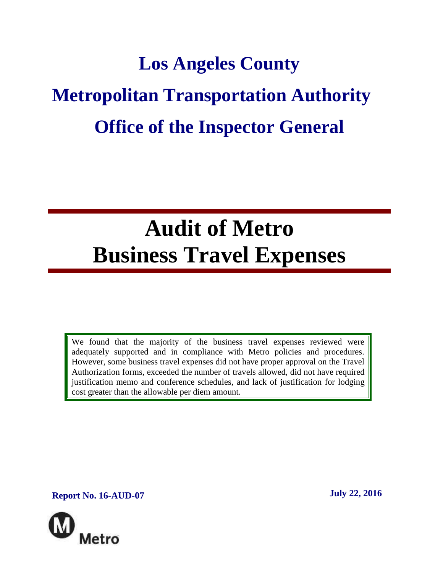# **Los Angeles County Metropolitan Transportation Authority Office of the Inspector General**

# **Audit of Metro Business Travel Expenses**

We found that the majority of the business travel expenses reviewed were adequately supported and in compliance with Metro policies and procedures. However, some business travel expenses did not have proper approval on the Travel Authorization forms, exceeded the number of travels allowed, did not have required justification memo and conference schedules, and lack of justification for lodging cost greater than the allowable per diem amount.

**Report No. 16-AUD-07 July 22, 2016**

Metro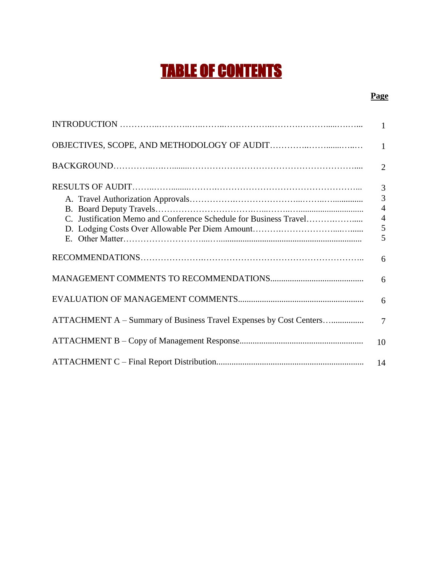## TABLE OF CONTENTS

## **Page**

|                                                                    | $\mathbf{1}$                                       |
|--------------------------------------------------------------------|----------------------------------------------------|
|                                                                    | $\mathbf{1}$                                       |
|                                                                    | 2                                                  |
|                                                                    | $\overline{3}$<br>$\overline{3}$<br>$\overline{4}$ |
|                                                                    | $\overline{4}$<br>5<br>5                           |
|                                                                    | 6                                                  |
|                                                                    | 6                                                  |
|                                                                    | 6                                                  |
| ATTACHMENT A – Summary of Business Travel Expenses by Cost Centers | $\overline{7}$                                     |
|                                                                    | 10                                                 |
|                                                                    | 14                                                 |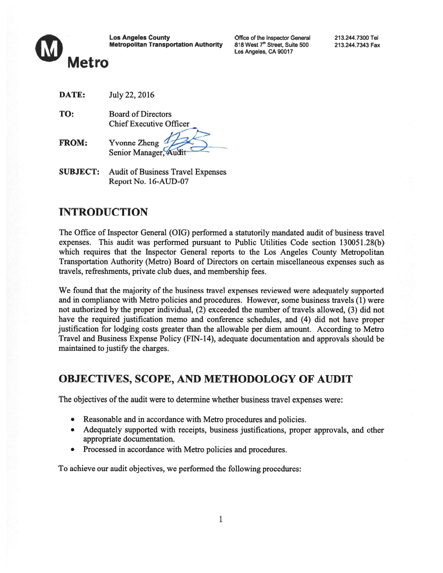

TO: Board of Directors Chief Executive Officer

FROM: Yvonne Zheng

Senior Manager, Audit

**SUBJECT:** Audit of Business Travel Expenses Report No. 16-AUD-07

## INTRODUCTION

The Office of Inspector General (OIG) performed <sup>a</sup> statutorily mandated audit of business travel expenses. This audit was performed pursuan<sup>t</sup> to Public Utilities Code section 130051.28(b) which requires that the Inspector General reports to the Los Angeles County Metropolitan Transportation Authority (Metro) Board of Directors on certain miscellaneous expenses such as travels, refreshments, private club dues, and membership fees.

We found that the majority of the business travel expenses reviewed were adequately supported and in compliance with Metro policies and procedures. However, some business travels (1) were not authorized by the proper individual, (2) exceeded the number of travels allowed, (3) did not have the required justification memo and conference schedules, and (4) did not have proper justification for lodging costs greater than the allowable per diem amount. According to Metro Travel and Business Expense Policy (FIN-14), adequate documentation and approvals should be maintained to justify the charges.

## OBJECTIVES, SCOPE, AND METHODOLOGY OF AUDIT

The objectives of the audit were to determine whether business travel expenses were:

- . Reasonable and in accordance with Metro procedures and policies.
- . Adequately supported with receipts, business justifications, proper approvals, and other appropriate documentation.
- . Processed in accordance with Metro policies and procedures.

To achieve our audit objectives, we performed the following procedures: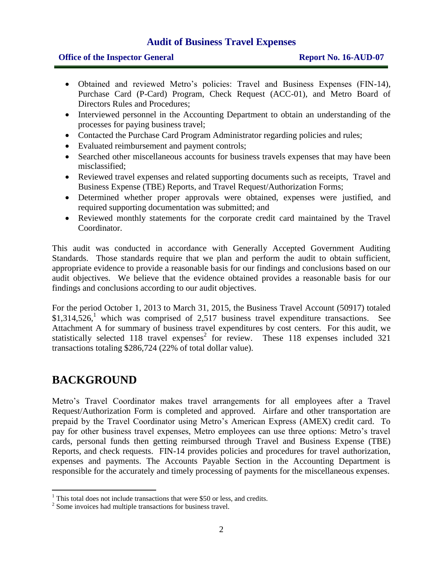## **Office of the Inspector General <b>Report No. 16-AUD-07**

- Obtained and reviewed Metro's policies: Travel and Business Expenses (FIN-14), Purchase Card (P-Card) Program, Check Request (ACC-01), and Metro Board of Directors Rules and Procedures;
- Interviewed personnel in the Accounting Department to obtain an understanding of the processes for paying business travel;
- Contacted the Purchase Card Program Administrator regarding policies and rules;
- Evaluated reimbursement and payment controls;
- Searched other miscellaneous accounts for business travels expenses that may have been misclassified;
- Reviewed travel expenses and related supporting documents such as receipts, Travel and Business Expense (TBE) Reports, and Travel Request/Authorization Forms;
- Determined whether proper approvals were obtained, expenses were justified, and required supporting documentation was submitted; and
- Reviewed monthly statements for the corporate credit card maintained by the Travel Coordinator.

This audit was conducted in accordance with Generally Accepted Government Auditing Standards. Those standards require that we plan and perform the audit to obtain sufficient, appropriate evidence to provide a reasonable basis for our findings and conclusions based on our audit objectives. We believe that the evidence obtained provides a reasonable basis for our findings and conclusions according to our audit objectives.

For the period October 1, 2013 to March 31, 2015, the Business Travel Account (50917) totaled  $$1,314,526$ , which was comprised of 2,517 business travel expenditure transactions. See Attachment A for summary of business travel expenditures by cost centers. For this audit, we statistically selected 118 travel expenses<sup>2</sup> for review. These 118 expenses included 321 transactions totaling \$286,724 (22% of total dollar value).

## **BACKGROUND**

 $\overline{a}$ 

Metro's Travel Coordinator makes travel arrangements for all employees after a Travel Request/Authorization Form is completed and approved. Airfare and other transportation are prepaid by the Travel Coordinator using Metro's American Express (AMEX) credit card. To pay for other business travel expenses, Metro employees can use three options: Metro's travel cards, personal funds then getting reimbursed through Travel and Business Expense (TBE) Reports, and check requests. FIN-14 provides policies and procedures for travel authorization, expenses and payments. The Accounts Payable Section in the Accounting Department is responsible for the accurately and timely processing of payments for the miscellaneous expenses.

 $1$  This total does not include transactions that were \$50 or less, and credits.

 $2^2$  Some invoices had multiple transactions for business travel.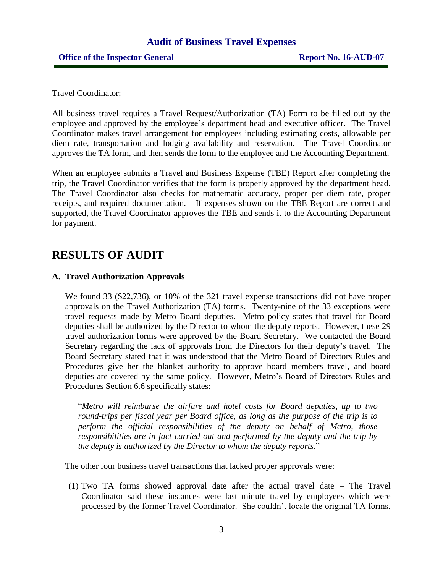### **Office of the Inspector General <b>Report No. 16-AUD-07**

## Travel Coordinator:

All business travel requires a Travel Request/Authorization (TA) Form to be filled out by the employee and approved by the employee's department head and executive officer. The Travel Coordinator makes travel arrangement for employees including estimating costs, allowable per diem rate, transportation and lodging availability and reservation. The Travel Coordinator approves the TA form, and then sends the form to the employee and the Accounting Department.

When an employee submits a Travel and Business Expense (TBE) Report after completing the trip, the Travel Coordinator verifies that the form is properly approved by the department head. The Travel Coordinator also checks for mathematic accuracy, proper per diem rate, proper receipts, and required documentation. If expenses shown on the TBE Report are correct and supported, the Travel Coordinator approves the TBE and sends it to the Accounting Department for payment.

## **RESULTS OF AUDIT**

## **A. Travel Authorization Approvals**

We found 33 (\$22,736), or 10% of the 321 travel expense transactions did not have proper approvals on the Travel Authorization (TA) forms. Twenty-nine of the 33 exceptions were travel requests made by Metro Board deputies. Metro policy states that travel for Board deputies shall be authorized by the Director to whom the deputy reports. However, these 29 travel authorization forms were approved by the Board Secretary. We contacted the Board Secretary regarding the lack of approvals from the Directors for their deputy's travel. The Board Secretary stated that it was understood that the Metro Board of Directors Rules and Procedures give her the blanket authority to approve board members travel, and board deputies are covered by the same policy. However, Metro's Board of Directors Rules and Procedures Section 6.6 specifically states:

"*Metro will reimburse the airfare and hotel costs for Board deputies, up to two round-trips per fiscal year per Board office, as long as the purpose of the trip is to perform the official responsibilities of the deputy on behalf of Metro, those responsibilities are in fact carried out and performed by the deputy and the trip by the deputy is authorized by the Director to whom the deputy reports*."

The other four business travel transactions that lacked proper approvals were:

(1) Two TA forms showed approval date after the actual travel date – The Travel Coordinator said these instances were last minute travel by employees which were processed by the former Travel Coordinator. She couldn't locate the original TA forms,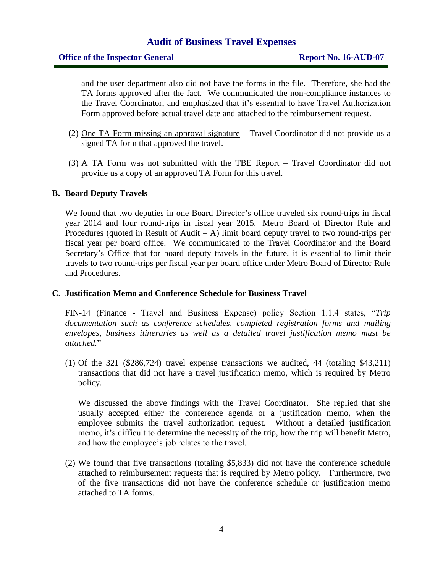and the user department also did not have the forms in the file. Therefore, she had the TA forms approved after the fact. We communicated the non-compliance instances to the Travel Coordinator, and emphasized that it's essential to have Travel Authorization Form approved before actual travel date and attached to the reimbursement request.

- (2) One TA Form missing an approval signature Travel Coordinator did not provide us a signed TA form that approved the travel.
- (3) A TA Form was not submitted with the TBE Report Travel Coordinator did not provide us a copy of an approved TA Form for this travel.

#### **B. Board Deputy Travels**

We found that two deputies in one Board Director's office traveled six round-trips in fiscal year 2014 and four round-trips in fiscal year 2015. Metro Board of Director Rule and Procedures (quoted in Result of Audit  $-A$ ) limit board deputy travel to two round-trips per fiscal year per board office. We communicated to the Travel Coordinator and the Board Secretary's Office that for board deputy travels in the future, it is essential to limit their travels to two round-trips per fiscal year per board office under Metro Board of Director Rule and Procedures.

#### **C. Justification Memo and Conference Schedule for Business Travel**

FIN-14 (Finance - Travel and Business Expense) policy Section 1.1.4 states, "*Trip documentation such as conference schedules, completed registration forms and mailing envelopes, business itineraries as well as a detailed travel justification memo must be attached.*"

(1) Of the 321  $(\$286,724)$  travel expense transactions we audited, 44 (totaling \$43,211) transactions that did not have a travel justification memo, which is required by Metro policy.

We discussed the above findings with the Travel Coordinator. She replied that she usually accepted either the conference agenda or a justification memo, when the employee submits the travel authorization request. Without a detailed justification memo, it's difficult to determine the necessity of the trip, how the trip will benefit Metro, and how the employee's job relates to the travel.

(2) We found that five transactions (totaling \$5,833) did not have the conference schedule attached to reimbursement requests that is required by Metro policy. Furthermore, two of the five transactions did not have the conference schedule or justification memo attached to TA forms.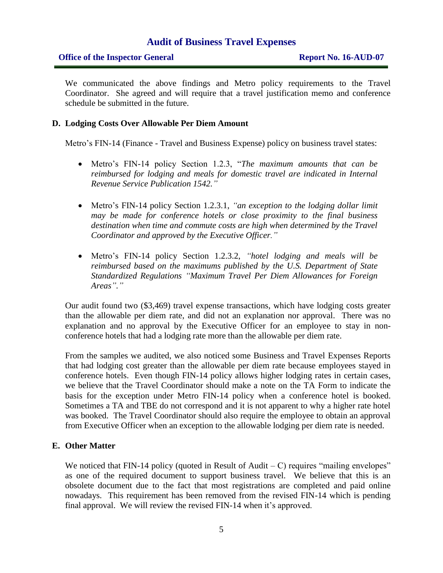We communicated the above findings and Metro policy requirements to the Travel Coordinator. She agreed and will require that a travel justification memo and conference schedule be submitted in the future.

#### **D. Lodging Costs Over Allowable Per Diem Amount**

Metro's FIN-14 (Finance - Travel and Business Expense) policy on business travel states:

- Metro's FIN-14 policy Section 1.2.3, "*The maximum amounts that can be reimbursed for lodging and meals for domestic travel are indicated in Internal Revenue Service Publication 1542."*
- Metro's FIN-14 policy Section 1.2.3.1, *"an exception to the lodging dollar limit may be made for conference hotels or close proximity to the final business*  destination when time and commute costs are high when determined by the Travel *Coordinator and approved by the Executive Officer."*
- Metro's FIN-14 policy Section 1.2.3.2, *"hotel lodging and meals will be reimbursed based on the maximums published by the U.S. Department of State Standardized Regulations "Maximum Travel Per Diem Allowances for Foreign Areas"."*

Our audit found two (\$3,469) travel expense transactions, which have lodging costs greater than the allowable per diem rate, and did not an explanation nor approval. There was no explanation and no approval by the Executive Officer for an employee to stay in nonconference hotels that had a lodging rate more than the allowable per diem rate.

From the samples we audited, we also noticed some Business and Travel Expenses Reports that had lodging cost greater than the allowable per diem rate because employees stayed in conference hotels. Even though FIN-14 policy allows higher lodging rates in certain cases, we believe that the Travel Coordinator should make a note on the TA Form to indicate the basis for the exception under Metro FIN-14 policy when a conference hotel is booked. Sometimes a TA and TBE do not correspond and it is not apparent to why a higher rate hotel was booked. The Travel Coordinator should also require the employee to obtain an approval from Executive Officer when an exception to the allowable lodging per diem rate is needed.

## **E. Other Matter**

We noticed that FIN-14 policy (quoted in Result of Audit – C) requires "mailing envelopes" as one of the required document to support business travel. We believe that this is an obsolete document due to the fact that most registrations are completed and paid online nowadays. This requirement has been removed from the revised FIN-14 which is pending final approval. We will review the revised FIN-14 when it's approved.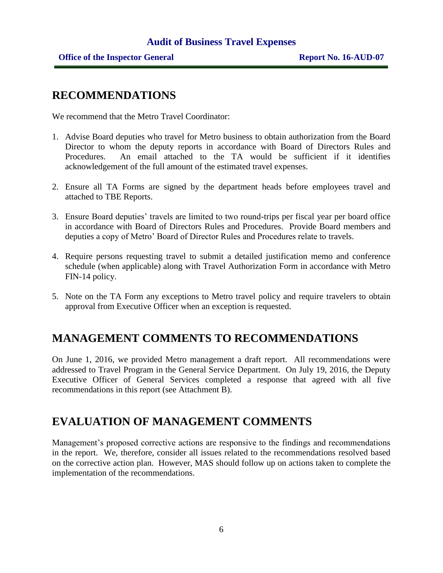## **RECOMMENDATIONS**

We recommend that the Metro Travel Coordinator:

- 1. Advise Board deputies who travel for Metro business to obtain authorization from the Board Director to whom the deputy reports in accordance with Board of Directors Rules and Procedures. An email attached to the TA would be sufficient if it identifies acknowledgement of the full amount of the estimated travel expenses.
- 2. Ensure all TA Forms are signed by the department heads before employees travel and attached to TBE Reports.
- 3. Ensure Board deputies' travels are limited to two round-trips per fiscal year per board office in accordance with Board of Directors Rules and Procedures. Provide Board members and deputies a copy of Metro' Board of Director Rules and Procedures relate to travels.
- 4. Require persons requesting travel to submit a detailed justification memo and conference schedule (when applicable) along with Travel Authorization Form in accordance with Metro FIN-14 policy.
- 5. Note on the TA Form any exceptions to Metro travel policy and require travelers to obtain approval from Executive Officer when an exception is requested.

## **MANAGEMENT COMMENTS TO RECOMMENDATIONS**

On June 1, 2016, we provided Metro management a draft report. All recommendations were addressed to Travel Program in the General Service Department. On July 19, 2016, the Deputy Executive Officer of General Services completed a response that agreed with all five recommendations in this report (see Attachment B).

## **EVALUATION OF MANAGEMENT COMMENTS**

Management's proposed corrective actions are responsive to the findings and recommendations in the report. We, therefore, consider all issues related to the recommendations resolved based on the corrective action plan. However, MAS should follow up on actions taken to complete the implementation of the recommendations.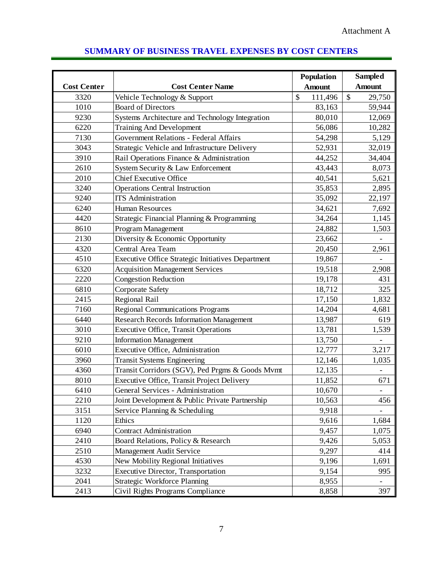## **SUMMARY OF BUSINESS TRAVEL EXPENSES BY COST CENTERS**

|                    |                                                          | Population              | <b>Sampled</b>               |  |
|--------------------|----------------------------------------------------------|-------------------------|------------------------------|--|
| <b>Cost Center</b> | <b>Cost Center Name</b>                                  | <b>Amount</b>           | <b>Amount</b>                |  |
| 3320               | Vehicle Technology & Support                             | $\mathbb{S}$<br>111,496 | $\mathcal{S}$<br>29,750      |  |
| 1010               | <b>Board of Directors</b>                                | 83,163                  | 59,944                       |  |
| 9230               | Systems Architecture and Technology Integration          | 80,010                  | 12,069                       |  |
| 6220               | <b>Training And Development</b>                          | 56,086                  | 10,282                       |  |
| 7130               | <b>Government Relations - Federal Affairs</b>            | 54,298                  | 5,129                        |  |
| 3043               | Strategic Vehicle and Infrastructure Delivery            | 52,931                  | 32,019                       |  |
| 3910               | Rail Operations Finance & Administration                 | 44,252                  | 34,404                       |  |
| 2610               | System Security & Law Enforcement                        | 43,443                  | 8,073                        |  |
| 2010               | <b>Chief Executive Office</b>                            | 40,541                  | 5,621                        |  |
| 3240               | <b>Operations Central Instruction</b>                    | 35,853                  | 2,895                        |  |
| 9240               | <b>ITS</b> Administration                                | 35,092                  | 22,197                       |  |
| 6240               | <b>Human Resources</b>                                   | 34,621                  | 7,692                        |  |
| 4420               | Strategic Financial Planning & Programming               | 34,264                  | 1,145                        |  |
| 8610               | Program Management                                       | 24,882                  | 1,503                        |  |
| 2130               | Diversity & Economic Opportunity                         | 23,662                  |                              |  |
| 4320               | Central Area Team                                        | 20,450                  | 2,961                        |  |
| 4510               | <b>Executive Office Strategic Initiatives Department</b> | 19,867                  |                              |  |
| 6320               | <b>Acquisition Management Services</b>                   | 19,518                  | 2,908                        |  |
| 2220               | <b>Congestion Reduction</b><br>19,178                    |                         |                              |  |
| 6810               | <b>Corporate Safety</b>                                  | 18,712                  | 325                          |  |
| 2415               | Regional Rail                                            | 17,150                  | 1,832                        |  |
| 7160               | <b>Regional Communications Programs</b>                  | 14,204                  | 4,681                        |  |
| 6440               | <b>Research Records Information Management</b>           |                         | 619                          |  |
| 3010               | <b>Executive Office, Transit Operations</b>              |                         | 1,539                        |  |
| 9210               | 13,750<br><b>Information Management</b>                  |                         |                              |  |
| 6010               | Executive Office, Administration                         |                         | 3,217                        |  |
| 3960               | <b>Transit Systems Engineering</b><br>12,146             |                         | 1,035                        |  |
| 4360               | Transit Corridors (SGV), Ped Prgms & Goods Mvmt          | 12,135                  |                              |  |
| 8010               | Executive Office, Transit Project Delivery               | 11,852                  | 671                          |  |
| 6410               | General Services - Administration                        | 10,670                  |                              |  |
| 2210               | Joint Development & Public Private Partnership           | 10,563                  | 456                          |  |
| 3151               | Service Planning & Scheduling<br>9,918                   |                         |                              |  |
| 1120               | Ethics<br>9,616<br>1,684                                 |                         |                              |  |
| 6940               | <b>Contract Administration</b><br>1,075<br>9,457         |                         |                              |  |
| 2410               | Board Relations, Policy & Research<br>9,426              |                         | 5,053                        |  |
| 2510               | Management Audit Service<br>9,297<br>414                 |                         |                              |  |
| 4530               | New Mobility Regional Initiatives                        | 9,196                   | 1,691                        |  |
| 3232               | <b>Executive Director, Transportation</b>                | 9,154                   | 995                          |  |
| 2041               | Strategic Workforce Planning                             | 8,955                   | $\qquad \qquad \blacksquare$ |  |
| 2413               | Civil Rights Programs Compliance                         | 8,858                   | 397                          |  |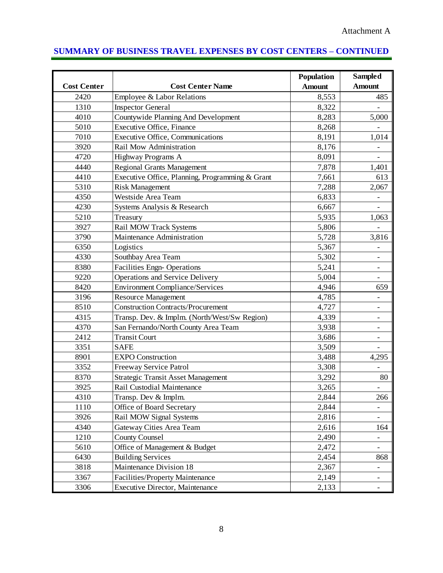## **SUMMARY OF BUSINESS TRAVEL EXPENSES BY COST CENTERS – CONTINUED**

|                                    |                                                 | Population    | <b>Sampled</b>           |
|------------------------------------|-------------------------------------------------|---------------|--------------------------|
| <b>Cost Center</b>                 | <b>Cost Center Name</b>                         | <b>Amount</b> | <b>Amount</b>            |
| 2420                               | Employee & Labor Relations                      | 8,553         | 485                      |
| 1310                               | <b>Inspector General</b>                        | 8,322         |                          |
| 4010                               | Countywide Planning And Development             |               | 5,000                    |
| 5010                               | <b>Executive Office, Finance</b>                | 8,268         |                          |
| 7010                               | <b>Executive Office, Communications</b>         |               | 1,014                    |
| 3920                               | Rail Mow Administration                         |               |                          |
| 4720                               | Highway Programs A                              | 8,091         |                          |
| 4440                               | <b>Regional Grants Management</b>               | 7,878         | 1,401                    |
| 4410                               | Executive Office, Planning, Programming & Grant | 7,661         | 613                      |
| 5310                               | <b>Risk Management</b>                          | 7,288         | 2,067                    |
| 4350                               | Westside Area Team                              | 6,833         |                          |
| 4230                               | Systems Analysis & Research                     | 6,667         |                          |
| 5210                               | Treasury                                        | 5,935         | 1,063                    |
| 3927                               | Rail MOW Track Systems                          |               |                          |
| 3790                               | Maintenance Administration                      | 5,728         | 3,816                    |
| 6350                               | Logistics                                       | 5,367         |                          |
| 4330                               | Southbay Area Team                              | 5,302         |                          |
| 8380                               | <b>Facilities Engn-Operations</b>               | 5,241         |                          |
| 9220                               | <b>Operations and Service Delivery</b>          |               | $\overline{\phantom{a}}$ |
| 8420                               | <b>Environment Compliance/Services</b>          |               | 659                      |
| 3196<br><b>Resource Management</b> |                                                 | 4,785         |                          |
| 8510                               | <b>Construction Contracts/Procurement</b>       |               | $\qquad \qquad -$        |
| 4315                               | Transp. Dev. & Implm. (North/West/Sw Region)    |               |                          |
| 4370                               | San Fernando/North County Area Team             | 3,938         | $\overline{\phantom{a}}$ |
| 2412                               | <b>Transit Court</b>                            |               | $\overline{\phantom{0}}$ |
| 3351                               | <b>SAFE</b>                                     | 3,509         |                          |
| 8901                               | <b>EXPO</b> Construction                        | 3,488         | 4,295                    |
| 3352<br>Freeway Service Patrol     |                                                 | 3,308         |                          |
| 8370                               | Strategic Transit Asset Management<br>3,292     |               | 80                       |
| 3925                               | Rail Custodial Maintenance                      | 3,265         | $\qquad \qquad -$        |
| 4310                               | 2,844<br>Transp. Dev & Implm.<br>266            |               |                          |
| 1110                               | Office of Board Secretary<br>2,844              |               |                          |
| 3926                               | Rail MOW Signal Systems<br>2,816                |               |                          |
| 4340                               | Gateway Cities Area Team<br>2,616<br>164        |               |                          |
| 1210                               | <b>County Counsel</b><br>2,490                  |               |                          |
| 5610                               | Office of Management & Budget<br>2,472          |               |                          |
| 6430                               | <b>Building Services</b>                        | 2,454         | 868                      |
| 3818                               | Maintenance Division 18                         | 2,367         |                          |
| 3367                               | <b>Facilities/Property Maintenance</b>          | 2,149         |                          |
| 3306                               | Executive Director, Maintenance                 |               |                          |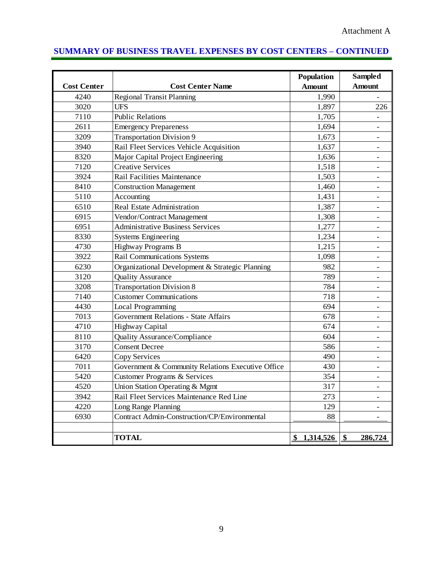## **SUMMARY OF BUSINESS TRAVEL EXPENSES BY COST CENTERS – CONTINUED**

|                    |                                                                                      | Population    | <b>Sampled</b>               |
|--------------------|--------------------------------------------------------------------------------------|---------------|------------------------------|
| <b>Cost Center</b> | <b>Cost Center Name</b>                                                              | <b>Amount</b> | <b>Amount</b>                |
| 4240               | <b>Regional Transit Planning</b>                                                     | 1,990         |                              |
| 3020               | <b>UFS</b>                                                                           | 1,897         | 226                          |
| 7110               | <b>Public Relations</b>                                                              | 1,705         |                              |
| 2611               | <b>Emergency Prepareness</b>                                                         | 1,694         |                              |
| 3209               | <b>Transportation Division 9</b>                                                     | 1,673         |                              |
| 3940               | Rail Fleet Services Vehicle Acquisition                                              | 1,637         |                              |
| 8320               | Major Capital Project Engineering                                                    | 1,636         |                              |
| 7120               | <b>Creative Services</b>                                                             | 1,518         |                              |
| 3924               | Rail Facilities Maintenance                                                          | 1,503         |                              |
| 8410               | <b>Construction Management</b>                                                       | 1,460         |                              |
| 5110               | Accounting                                                                           | 1,431         | $\overline{a}$               |
| 6510               | Real Estate Administration                                                           | 1,387         | $\overline{a}$               |
| 6915               | Vendor/Contract Management                                                           | 1,308         | $\overline{a}$               |
| 6951               | <b>Administrative Business Services</b>                                              | 1,277         | $\overline{\phantom{0}}$     |
| 8330               | <b>Systems Engineering</b>                                                           | 1,234         | $\overline{\phantom{0}}$     |
| 4730               | Highway Programs B                                                                   | 1,215         | $\overline{\phantom{0}}$     |
| 3922               | <b>Rail Communications Systems</b>                                                   |               | $\overline{\phantom{a}}$     |
| 6230               | Organizational Development & Strategic Planning                                      | 982           | $\overline{\phantom{0}}$     |
| 3120               | <b>Quality Assurance</b>                                                             | 789           | $\qquad \qquad \blacksquare$ |
| 3208               | <b>Transportation Division 8</b>                                                     |               | $\qquad \qquad -$            |
| 7140               | <b>Customer Communications</b>                                                       |               | $\qquad \qquad -$            |
| 4430               | <b>Local Programming</b>                                                             |               | $\overline{\phantom{0}}$     |
| 7013               | Government Relations - State Affairs                                                 |               | $\overline{\phantom{m}}$     |
| 4710               | <b>Highway Capital</b>                                                               |               | $\qquad \qquad \blacksquare$ |
| 8110               | <b>Quality Assurance/Compliance</b>                                                  |               |                              |
| 3170               | <b>Consent Decree</b><br>586<br>$\overline{\phantom{0}}$                             |               |                              |
| 6420               | <b>Copy Services</b><br>490<br>$\overline{a}$                                        |               |                              |
| 7011               | Government & Community Relations Executive Office<br>430<br>$\overline{\phantom{0}}$ |               |                              |
| 5420               | 354<br><b>Customer Programs &amp; Services</b><br>$\overline{a}$                     |               |                              |
| 4520               | Union Station Operating & Mgmt<br>317<br>$\overline{a}$                              |               |                              |
| 3942               | Rail Fleet Services Maintenance Red Line<br>273                                      |               | $\overline{\phantom{0}}$     |
| 4220               | Long Range Planning                                                                  | 129           | $\overline{\phantom{0}}$     |
| 6930               | Contract Admin-Construction/CP/Environmental                                         | 88            | $\overline{a}$               |
|                    |                                                                                      |               |                              |
|                    | <b>TOTAL</b>                                                                         | \$1,314,526   | $\mathbf{\$\}$<br>286,724    |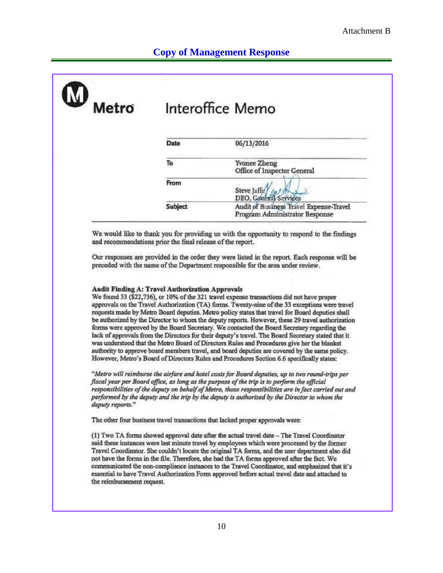## **Copy of Management Response**

| Metro | Interoffice Memo |                                                                           |  |
|-------|------------------|---------------------------------------------------------------------------|--|
|       | Date             | 06/13/2016                                                                |  |
|       | To               | Yvonee Zheng<br>Office of Inspector General                               |  |
|       | From             | Steve Jaffe<br>DEO, General Services                                      |  |
|       | Subject          | Audit of Business Travel Expense-Travel<br>Program Administrator Response |  |

We would like to thank you for providing us with the opportunity to respond to the findings and recommendations prior the final release of the report.

Our responses are provided in the order they were listed in the report. Each response will be preceded with the name of the Department responsible for the area under review.

#### **Audit Finding A: Travel Authorization Approvals**

We found 33 (\$22,736), or 10% of the 321 travel expense transactions did not have proper approvals on the Travel Authorization (TA) forms. Twenty-nine of the 33 exceptions were travel requests made by Metro Board deputies. Metro policy states that travel for Board deputies shall be authorized by the Director to whom the deputy reports. However, these 29 travel authorization forms were approved by the Board Secretary. We contacted the Board Secretary regarding the lack of approvals from the Directors for their deputy's travel. The Board Secretary stated that it was understood that the Metro Board of Directors Rules and Procedures give her the blanket authority to approve board members travel, and board deputies are covered by the same policy. However, Metro's Board of Directors Rules and Procedures Section 6.6 specifically states:

"Metro will reimburse the airfare and hotel costs for Board deputies, up to two round-trips per fiscal year per Board office, as long as the purpose of the trip is to perform the official responsibilities of the deputy on behalf of Metro, those responsibilities are in fact carried out and performed by the deputy and the trip by the deputy is authorized by the Director to whom the deputy reports."

The other four business travel transactions that lacked proper approvals were:

(1) Two TA forms showed approval date after the actual travel date - The Travel Coordinator said these instances were last minute travel by employees which were processed by the former Travel Coordinator. She couldn't locate the original TA forms, and the user department also did not have the forms in the file. Therefore, she had the TA forms approved after the fact. We communicated the non-compliance instances to the Travel Coordinator, and emphasized that it's essential to have Travel Authorization Form approved before actual travel date and attached to the reimbursement request.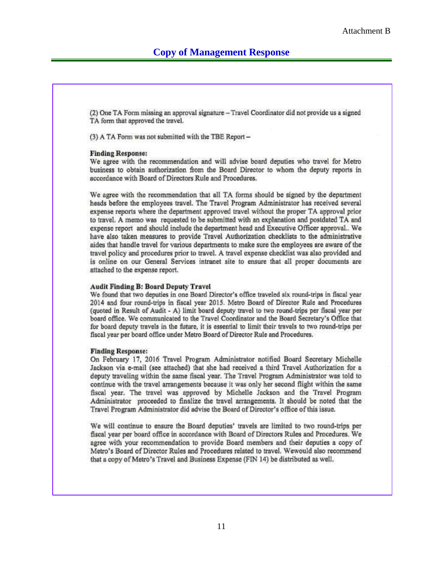(2) One TA Form missing an approval signature - Travel Coordinator did not provide us a signed TA form that approved the travel.

(3) A TA Form was not submitted with the TBE Report -

#### **Finding Response:**

We agree with the recommendation and will advise board deputies who travel for Metro business to obtain authorization from the Board Director to whom the deputy reports in accordance with Board of Directors Rule and Procedures.

We agree with the recommendation that all TA forms should be signed by the department heads before the employees travel. The Travel Program Administrator has received several expense reports where the department approved travel without the proper TA approval prior to travel. A memo was requested to be submitted with an explanation and postdated TA and expense report and should include the department head and Executive Officer approval.. We have also taken measures to provide Travel Authorization checklists to the administrative aides that handle travel for various departments to make sure the employees are aware of the travel policy and procedures prior to travel. A travel expense checklist was also provided and is online on our General Services intranet site to ensure that all proper documents are attached to the expense report.

#### **Audit Finding B: Board Deputy Travel**

We found that two deputies in one Board Director's office traveled six round-trips in fiscal year 2014 and four round-trips in fiscal year 2015. Metro Board of Director Rule and Procedures (quoted in Result of Audit - A) limit board deputy travel to two round-trips per fiscal year per board office. We communicated to the Travel Coordinator and the Board Secretary's Office that for board deputy travels in the future, it is essential to limit their travels to two round-trips per fiscal year per board office under Metro Board of Director Rule and Procedures.

#### **Finding Response:**

On February 17, 2016 Travel Program Administrator notified Board Secretary Michelle Jackson via e-mail (see attached) that she had received a third Travel Authorization for a deputy traveling within the same fiscal year. The Travel Program Administrator was told to continue with the travel arrangements because it was only her second flight within the same fiscal year. The travel was approved by Michelle Jackson and the Travel Program Administrator proceeded to finalize the travel arrangements. It should be noted that the Travel Program Administrator did advise the Board of Director's office of this issue.

We will continue to ensure the Board deputies' travels are limited to two round-trips per fiscal year per board office in accordance with Board of Directors Rules and Procedures. We agree with your recommendation to provide Board members and their deputies a copy of Metro's Board of Director Rules and Procedures related to travel. Wewould also recommend that a copy of Metro's Travel and Business Expense (FIN 14) be distributed as well.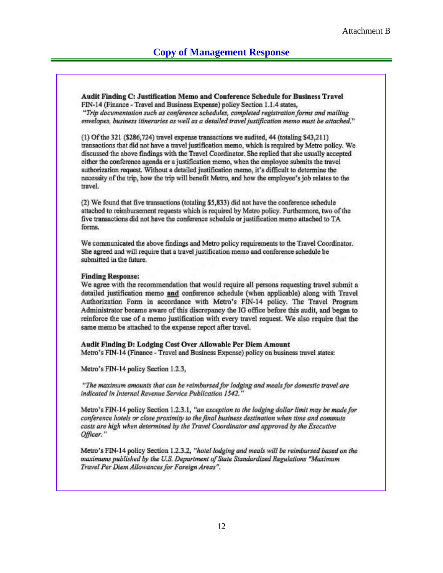## Audit Finding C: Justification Memo and Conference Schedule for Business Travel FIN-14 (Finance - Travel and Business Expense) policy Section 1.1.4 states,

"Trip documentation such as conference schedules, completed registration forms and mailing envelopes, business itineraries as well as a detailed travel justification memo must be attached."

 $(1)$  Of the 321 (\$286,724) travel expense transactions we audited, 44 (totaling \$43,211) transactions that did not have a travel justification memo, which is required by Metro policy. We discussed the above findings with the Travel Coordinator. She replied that she usually accepted either the conference agenda or a justification memo, when the employee submits the travel authorization request. Without a detailed justification memo, it's difficult to determine the necessity of the trip, how the trip will benefit Metro, and how the employee's job relates to the travel.

(2) We found that five transactions (totaling \$5,833) did not have the conference schedule attached to reimbursement requests which is required by Metro policy. Furthermore, two of the five transactions did not have the conference schedule or justification memo attached to TA forms.

We communicated the above findings and Metro policy requirements to the Travel Coordinator. She agreed and will require that a travel justification memo and conference schedule be submitted in the future.

#### **Finding Response:**

We agree with the recommendation that would require all persons requesting travel submit a detailed justification memo and conference schedule (when applicable) along with Travel Authorization Form in accordance with Metro's FIN-14 policy. The Travel Program Administrator became aware of this discrepancy the IG office before this audit, and began to reinforce the use of a memo justification with every travel request. We also require that the same memo be attached to the expense report after travel.

Audit Finding D: Lodging Cost Over Allowable Per Diem Amount Metro's FIN-14 (Finance - Travel and Business Expense) policy on business travel states:

Metro's FIN-14 policy Section 1.2.3,

"The maximum amounts that can be reimbursed for lodging and meals for domestic travel are indicated in Internal Revenue Service Publication 1542.'

Metro's FIN-14 policy Section 1.2.3.1, "an exception to the lodging dollar limit may be made for conference hotels or close proximity to the final business destination when time and commute costs are high when determined by the Travel Coordinator and approved by the Executive Officer."

Metro's FIN-14 policy Section 1.2.3.2, "hotel lodging and meals will be reimbursed based on the maximums published by the U.S. Department of State Standardized Regulations "Maximum Travel Per Diem Allowances for Foreign Areas".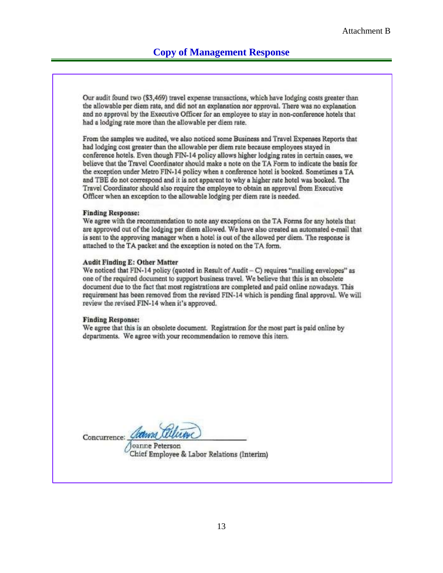Our audit found two (\$3,469) travel expense transactions, which have lodging costs greater than the allowable per diem rate, and did not an explanation nor approval. There was no explanation and no approval by the Executive Officer for an employee to stay in non-conference hotels that had a lodging rate more than the allowable per diem rate.

From the samples we audited, we also noticed some Business and Travel Expenses Reports that had lodging cost greater than the allowable per diem rate because employees stayed in conference hotels. Even though FIN-14 policy allows higher lodging rates in certain cases, we believe that the Travel Coordinator should make a note on the TA Form to indicate the basis for the exception under Metro FIN-14 policy when a conference hotel is booked. Sometimes a TA and TBE do not correspond and it is not apparent to why a higher rate hotel was booked. The Travel Coordinator should also require the employee to obtain an approval from Executive Officer when an exception to the allowable lodging per diem rate is needed.

#### **Finding Response:**

We agree with the recommendation to note any exceptions on the TA Forms for any hotels that are approved out of the lodging per diern allowed. We have also created an automated e-mail that is sent to the approving manager when a hotel is out of the allowed per diem. The response is attached to the TA packet and the exception is noted on the TA form.

#### **Audit Finding E: Other Matter**

We noticed that FIN-14 policy (quoted in Result of Audit - C) requires "mailing envelopes" as one of the required document to support business travel. We believe that this is an obsolete document due to the fact that most registrations are completed and paid online nowadays. This requirement has been removed from the revised FIN-14 which is pending final approval. We will review the revised FIN-14 when it's approved.

#### **Finding Response:**

We agree that this is an obsolete document. Registration for the most part is paid online by departments. We agree with your recommendation to remove this item.

Concurrence: Comma tel

oanne Peterson Chief Employee & Labor Relations (Interim)